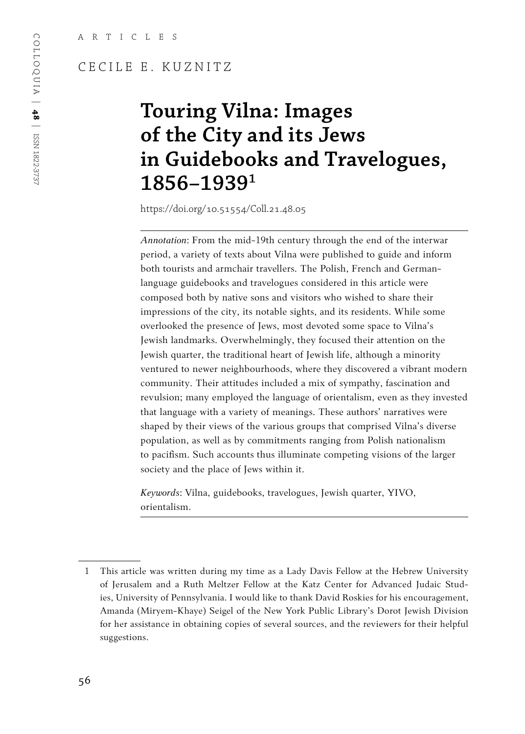# CECILE E. KUZNITZ

# **Touring Vilna: Images of the City and its Jews in Guidebooks and Travelogues, 1856–19391**

https://doi.org/10.51554/Coll.21.48.05

*Annotation*: From the mid-19th century through the end of the interwar period, a variety of texts about Vilna were published to guide and inform both tourists and armchair travellers. The Polish, French and Germanlanguage guidebooks and travelogues considered in this article were composed both by native sons and visitors who wished to share their impressions of the city, its notable sights, and its residents. While some overlooked the presence of Jews, most devoted some space to Vilna's Jewish landmarks. Overwhelmingly, they focused their attention on the Jewish quarter, the traditional heart of Jewish life, although a minority ventured to newer neighbourhoods, where they discovered a vibrant modern community. Their attitudes included a mix of sympathy, fascination and revulsion; many employed the language of orientalism, even as they invested that language with a variety of meanings. These authors' narratives were shaped by their views of the various groups that comprised Vilna's diverse population, as well as by commitments ranging from Polish nationalism to pacifism. Such accounts thus illuminate competing visions of the larger society and the place of Jews within it.

*Keywords*: Vilna, guidebooks, travelogues, Jewish quarter, YIVO, orientalism.

<sup>1</sup> This article was written during my time as a Lady Davis Fellow at the Hebrew University of Jerusalem and a Ruth Meltzer Fellow at the Katz Center for Advanced Judaic Studies, University of Pennsylvania. I would like to thank David Roskies for his encouragement, Amanda (Miryem-Khaye) Seigel of the New York Public Library's Dorot Jewish Division for her assistance in obtaining copies of several sources, and the reviewers for their helpful suggestions.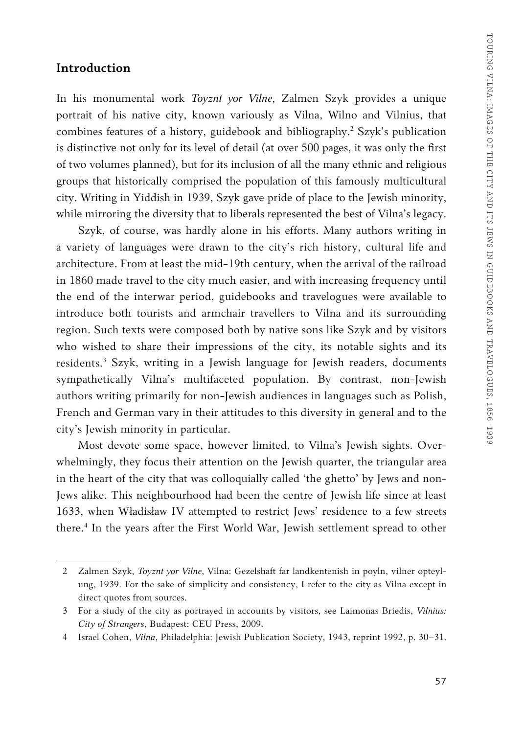#### **Introduction**

In his monumental work *Toyznt yor Vilne*, Zalmen Szyk provides a unique portrait of his native city, known variously as Vilna, Wilno and Vilnius, that combines features of a history, guidebook and bibliography.<sup>2</sup> Szyk's publication is distinctive not only for its level of detail (at over 500 pages, it was only the first of two volumes planned), but for its inclusion of all the many ethnic and religious groups that historically comprised the population of this famously multicultural city. Writing in Yiddish in 1939, Szyk gave pride of place to the Jewish minority, while mirroring the diversity that to liberals represented the best of Vilna's legacy.

Szyk, of course, was hardly alone in his efforts. Many authors writing in a variety of languages were drawn to the city's rich history, cultural life and architecture. From at least the mid-19th century, when the arrival of the railroad in 1860 made travel to the city much easier, and with increasing frequency until the end of the interwar period, guidebooks and travelogues were available to introduce both tourists and armchair travellers to Vilna and its surrounding region. Such texts were composed both by native sons like Szyk and by visitors who wished to share their impressions of the city, its notable sights and its residents.<sup>3</sup> Szyk, writing in a Jewish language for Jewish readers, documents sympathetically Vilna's multifaceted population. By contrast, non-Jewish authors writing primarily for non-Jewish audiences in languages such as Polish, French and German vary in their attitudes to this diversity in general and to the city's Jewish minority in particular.

Most devote some space, however limited, to Vilna's Jewish sights. Overwhelmingly, they focus their attention on the Jewish quarter, the triangular area in the heart of the city that was colloquially called 'the ghetto' by Jews and non-Jews alike. This neighbourhood had been the centre of Jewish life since at least 1633, when Władisław IV attempted to restrict Jews' residence to a few streets there.4 In the years after the First World War, Jewish settlement spread to other

<sup>2</sup> Zalmen Szyk, *Toyznt yor Vilne*, Vilna: Gezelshaft far landkentenish in poyln, vilner opteylung, 1939. For the sake of simplicity and consistency, I refer to the city as Vilna except in direct quotes from sources.

<sup>3</sup> For a study of the city as portrayed in accounts by visitors, see Laimonas Briedis, *Vilnius: City of Strangers*, Budapest: CEU Press, 2009.

<sup>4</sup> Israel Cohen, *Vilna*, Philadelphia: Jewish Publication Society, 1943, reprint 1992, p. 30–31.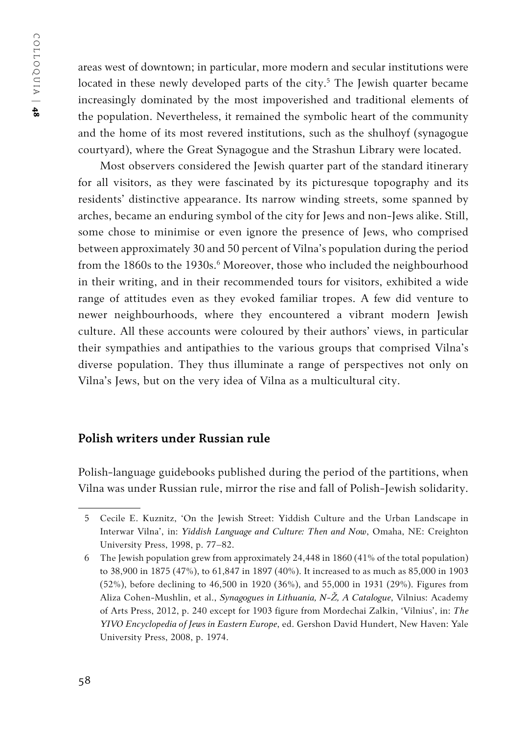COLLOQUIA | COLLOQUIA | 48

areas west of downtown; in particular, more modern and secular institutions were located in these newly developed parts of the city.<sup>5</sup> The Jewish quarter became increasingly dominated by the most impoverished and traditional elements of the population. Nevertheless, it remained the symbolic heart of the community and the home of its most revered institutions, such as the shulhoyf (synagogue courtyard), where the Great Synagogue and the Strashun Library were located.

Most observers considered the Jewish quarter part of the standard itinerary for all visitors, as they were fascinated by its picturesque topography and its residents' distinctive appearance. Its narrow winding streets, some spanned by arches, became an enduring symbol of the city for Jews and non-Jews alike. Still, some chose to minimise or even ignore the presence of Jews, who comprised between approximately 30 and 50 percent of Vilna's population during the period from the 1860s to the 1930s.<sup>6</sup> Moreover, those who included the neighbourhood in their writing, and in their recommended tours for visitors, exhibited a wide range of attitudes even as they evoked familiar tropes. A few did venture to newer neighbourhoods, where they encountered a vibrant modern Jewish culture. All these accounts were coloured by their authors' views, in particular their sympathies and antipathies to the various groups that comprised Vilna's diverse population. They thus illuminate a range of perspectives not only on Vilna's Jews, but on the very idea of Vilna as a multicultural city.

# **Polish writers under Russian rule**

Polish-language guidebooks published during the period of the partitions, when Vilna was under Russian rule, mirror the rise and fall of Polish-Jewish solidarity.

<sup>5</sup> Cecile E. Kuznitz, 'On the Jewish Street: Yiddish Culture and the Urban Landscape in Interwar Vilna', in: *Yiddish Language and Culture: Then and Now*, Omaha, NE: Creighton University Press, 1998, p. 77–82.

<sup>6</sup> The Jewish population grew from approximately 24,448 in 1860 (41% of the total population) to 38,900 in 1875 (47%), to 61,847 in 1897 (40%). It increased to as much as 85,000 in 1903 (52%), before declining to 46,500 in 1920 (36%), and 55,000 in 1931 (29%). Figures from Aliza Cohen-Mushlin, et al., *Synagogues in Lithuania, N-Ž, A Catalogue*, Vilnius: Academy of Arts Press, 2012, p. 240 except for 1903 figure from Mordechai Zalkin, 'Vilnius', in: *The YIVO Encyclopedia of Jews in Eastern Europe*, ed. Gershon David Hundert, New Haven: Yale University Press, 2008, p. 1974.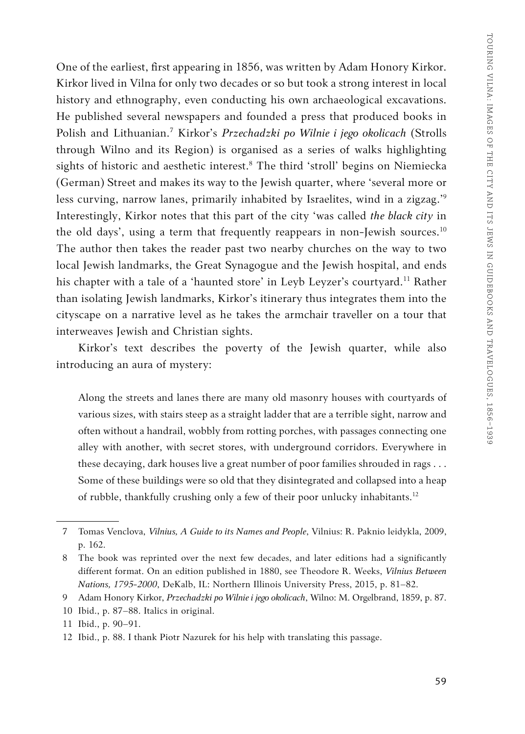One of the earliest, first appearing in 1856, was written by Adam Honory Kirkor. Kirkor lived in Vilna for only two decades or so but took a strong interest in local history and ethnography, even conducting his own archaeological excavations. He published several newspapers and founded a press that produced books in Polish and Lithuanian.7 Kirkor's *Przechadzki po Wilnie i jego okolicach* (Strolls through Wilno and its Region) is organised as a series of walks highlighting sights of historic and aesthetic interest.8 The third 'stroll' begins on Niemiecka (German) Street and makes its way to the Jewish quarter, where 'several more or less curving, narrow lanes, primarily inhabited by Israelites, wind in a zigzag.'<sup>9</sup> Interestingly, Kirkor notes that this part of the city 'was called *the black city* in the old days', using a term that frequently reappears in non-Jewish sources.<sup>10</sup> The author then takes the reader past two nearby churches on the way to two local Jewish landmarks, the Great Synagogue and the Jewish hospital, and ends his chapter with a tale of a 'haunted store' in Leyb Leyzer's courtyard.<sup>11</sup> Rather than isolating Jewish landmarks, Kirkor's itinerary thus integrates them into the cityscape on a narrative level as he takes the armchair traveller on a tour that interweaves Jewish and Christian sights.

Kirkor's text describes the poverty of the Jewish quarter, while also introducing an aura of mystery:

Along the streets and lanes there are many old masonry houses with courtyards of various sizes, with stairs steep as a straight ladder that are a terrible sight, narrow and often without a handrail, wobbly from rotting porches, with passages connecting one alley with another, with secret stores, with underground corridors. Everywhere in these decaying, dark houses live a great number of poor families shrouded in rags . . . Some of these buildings were so old that they disintegrated and collapsed into a heap of rubble, thankfully crushing only a few of their poor unlucky inhabitants.12

<sup>7</sup> Tomas Venclova, *Vilnius, A Guide to its Names and People*, Vilnius: R. Paknio leidykla, 2009, p. 162.

<sup>8</sup> The book was reprinted over the next few decades, and later editions had a significantly different format. On an edition published in 1880, see Theodore R. Weeks, *Vilnius Between Nations, 1795-2000*, DeKalb, IL: Northern Illinois University Press, 2015, p. 81–82.

<sup>9</sup> Adam Honory Kirkor, *Przechadzki po Wilnie i jego okolicach*, Wilno: M. Orgelbrand, 1859, p. 87.

<sup>10</sup> Ibid., p. 87–88. Italics in original.

<sup>11</sup> Ibid., p. 90–91.

<sup>12</sup> Ibid., p. 88. I thank Piotr Nazurek for his help with translating this passage.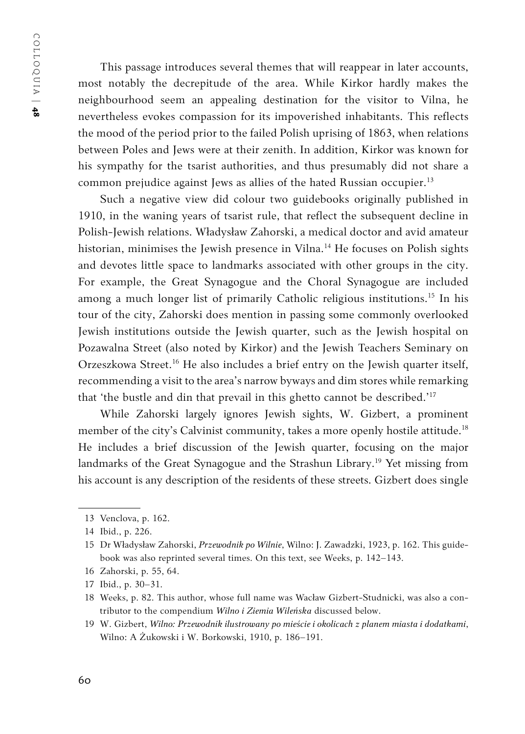This passage introduces several themes that will reappear in later accounts, most notably the decrepitude of the area. While Kirkor hardly makes the neighbourhood seem an appealing destination for the visitor to Vilna, he nevertheless evokes compassion for its impoverished inhabitants. This reflects the mood of the period prior to the failed Polish uprising of 1863, when relations between Poles and Jews were at their zenith. In addition, Kirkor was known for his sympathy for the tsarist authorities, and thus presumably did not share a common prejudice against Jews as allies of the hated Russian occupier.<sup>13</sup>

Such a negative view did colour two guidebooks originally published in 1910, in the waning years of tsarist rule, that reflect the subsequent decline in Polish-Jewish relations. Władysław Zahorski, a medical doctor and avid amateur historian, minimises the Jewish presence in Vilna.<sup>14</sup> He focuses on Polish sights and devotes little space to landmarks associated with other groups in the city. For example, the Great Synagogue and the Choral Synagogue are included among a much longer list of primarily Catholic religious institutions.<sup>15</sup> In his tour of the city, Zahorski does mention in passing some commonly overlooked Jewish institutions outside the Jewish quarter, such as the Jewish hospital on Pozawalna Street (also noted by Kirkor) and the Jewish Teachers Seminary on Orzeszkowa Street.16 He also includes a brief entry on the Jewish quarter itself, recommending a visit to the area's narrow byways and dim stores while remarking that 'the bustle and din that prevail in this ghetto cannot be described.'17

While Zahorski largely ignores Jewish sights, W. Gizbert, a prominent member of the city's Calvinist community, takes a more openly hostile attitude.<sup>18</sup> He includes a brief discussion of the Jewish quarter, focusing on the major landmarks of the Great Synagogue and the Strashun Library.<sup>19</sup> Yet missing from his account is any description of the residents of these streets. Gizbert does single

16 Zahorski, p. 55, 64.

<sup>13</sup> Venclova, p. 162.

<sup>14</sup> Ibid., p. 226.

<sup>15</sup> Dr Władysław Zahorski, *Przewodnik po Wilnie*, Wilno: J. Zawadzki, 1923, p. 162. This guidebook was also reprinted several times. On this text, see Weeks, p. 142–143.

<sup>17</sup> Ibid., p. 30–31.

<sup>18</sup> Weeks, p. 82. This author, whose full name was Wacław Gizbert-Studnicki, was also a contributor to the compendium *Wilno i Ziemia Wileńska* discussed below.

<sup>19</sup> W. Gizbert, *Wilno: Przewodnik ilustrowany po mieście i okolicach z planem miasta i dodatkami*, Wilno: A Żukowski i W. Borkowski, 1910, p. 186–191.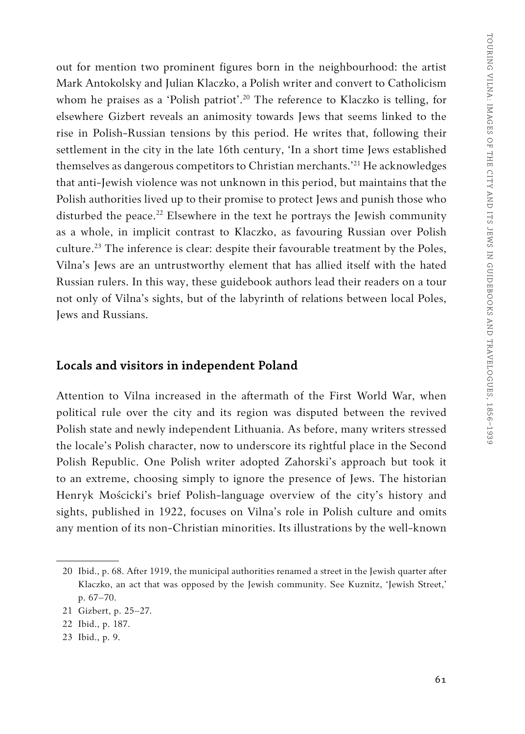out for mention two prominent figures born in the neighbourhood: the artist Mark Antokolsky and Julian Klaczko, a Polish writer and convert to Catholicism whom he praises as a 'Polish patriot'.<sup>20</sup> The reference to Klaczko is telling, for elsewhere Gizbert reveals an animosity towards Jews that seems linked to the rise in Polish-Russian tensions by this period. He writes that, following their settlement in the city in the late 16th century, 'In a short time Jews established themselves as dangerous competitors to Christian merchants.'<sup>21</sup> He acknowledges that anti-Jewish violence was not unknown in this period, but maintains that the Polish authorities lived up to their promise to protect Jews and punish those who disturbed the peace.<sup>22</sup> Elsewhere in the text he portrays the Jewish community as a whole, in implicit contrast to Klaczko, as favouring Russian over Polish culture.<sup>23</sup> The inference is clear: despite their favourable treatment by the Poles, Vilna's Jews are an untrustworthy element that has allied itself with the hated Russian rulers. In this way, these guidebook authors lead their readers on a tour not only of Vilna's sights, but of the labyrinth of relations between local Poles, Jews and Russians.

#### **Locals and visitors in independent Poland**

Attention to Vilna increased in the aftermath of the First World War, when political rule over the city and its region was disputed between the revived Polish state and newly independent Lithuania. As before, many writers stressed the locale's Polish character, now to underscore its rightful place in the Second Polish Republic. One Polish writer adopted Zahorski's approach but took it to an extreme, choosing simply to ignore the presence of Jews. The historian Henryk Mościcki's brief Polish-language overview of the city's history and sights, published in 1922, focuses on Vilna's role in Polish culture and omits any mention of its non-Christian minorities. Its illustrations by the well-known

<sup>20</sup> Ibid., p. 68. After 1919, the municipal authorities renamed a street in the Jewish quarter after Klaczko, an act that was opposed by the Jewish community. See Kuznitz, 'Jewish Street,' p. 67–70.

<sup>21</sup> Gizbert, p. 25–27*.*

<sup>22</sup> Ibid., p. 187.

<sup>23</sup> Ibid., p. 9.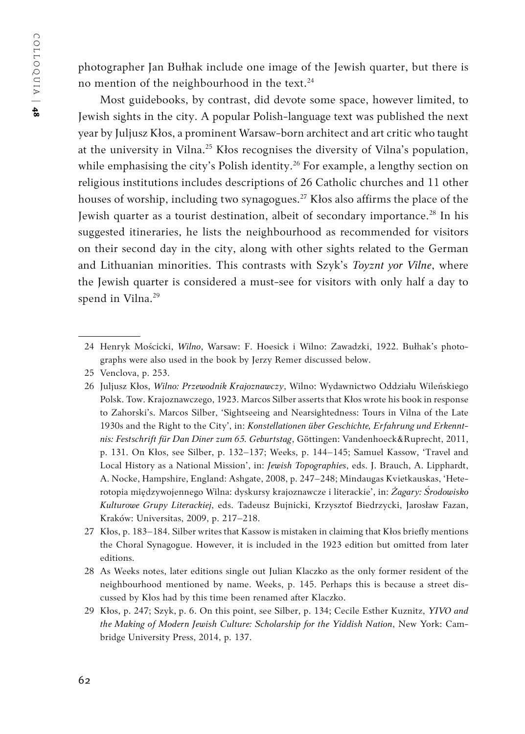photographer Jan Bułhak include one image of the Jewish quarter, but there is no mention of the neighbourhood in the text. $24$ 

Most guidebooks, by contrast, did devote some space, however limited, to Jewish sights in the city. A popular Polish-language text was published the next year by Juljusz Kłos, a prominent Warsaw-born architect and art critic who taught at the university in Vilna.25 Kłos recognises the diversity of Vilna's population, while emphasising the city's Polish identity.<sup>26</sup> For example, a lengthy section on religious institutions includes descriptions of 26 Catholic churches and 11 other houses of worship, including two synagogues.27 Kłos also affirms the place of the Jewish quarter as a tourist destination, albeit of secondary importance.<sup>28</sup> In his suggested itineraries, he lists the neighbourhood as recommended for visitors on their second day in the city, along with other sights related to the German and Lithuanian minorities. This contrasts with Szyk's *Toyznt yor Vilne*, where the Jewish quarter is considered a must-see for visitors with only half a day to spend in Vilna.<sup>29</sup>

<sup>24</sup> Henryk Mościcki, *Wilno*, Warsaw: F. Hoesick i Wilno: Zawadzki, 1922. Bułhak's photographs were also used in the book by Jerzy Remer discussed below.

<sup>25</sup> Venclova, p. 253.

<sup>26</sup> Juljusz Kłos, *Wilno: Przewodnik Krajoznawczy*, Wilno: Wydawnictwo Oddziału Wileńskiego Polsk. Tow. Krajoznawczego, 1923. Marcos Silber asserts that Kłos wrote his book in response to Zahorski's. Marcos Silber, 'Sightseeing and Nearsightedness: Tours in Vilna of the Late 1930s and the Right to the City', in: *Konstellationen über Geschichte, Erfahrung und Erkenntnis: Festschrift für Dan Diner zum 65. Geburtstag*, Göttingen: Vandenhoeck&Ruprecht, 2011, p. 131. On Kłos, see Silber, p. 132–137; Weeks, p. 144–145; Samuel Kassow, 'Travel and Local History as a National Mission', in: *Jewish Topographies*, eds. J. Brauch, A. Lipphardt, A. Nocke, Hampshire, England: Ashgate, 2008, p. 247–248; Mindaugas Kvietkauskas, 'Heterotopia międzywojennego Wilna: dyskursy krajoznawcze i literackie', in: *Żagary: Środowisko Kulturowe Grupy Literackiej*, eds. Tadeusz Bujnicki, Krzysztof Biedrzycki, Jarosław Fazan, Kraków: Universitas, 2009, p. 217–218.

<sup>27</sup> Kłos, p. 183–184. Silber writes that Kassow is mistaken in claiming that Kłos briefly mentions the Choral Synagogue. However, it is included in the 1923 edition but omitted from later editions.

<sup>28</sup> As Weeks notes, later editions single out Julian Klaczko as the only former resident of the neighbourhood mentioned by name. Weeks, p. 145. Perhaps this is because a street discussed by Kłos had by this time been renamed after Klaczko.

<sup>29</sup> Kłos, p. 247; Szyk, p. 6. On this point, see Silber, p. 134; Cecile Esther Kuznitz, *YIVO and the Making of Modern Jewish Culture: Scholarship for the Yiddish Nation*, New York: Cambridge University Press, 2014, p. 137.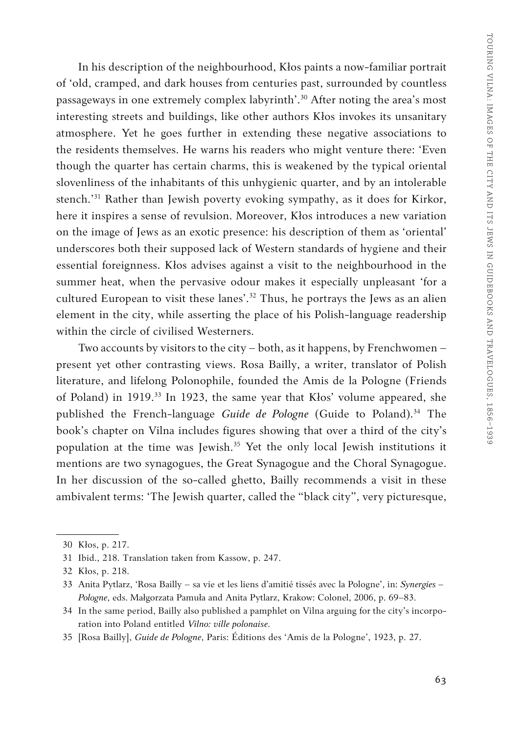In his description of the neighbourhood, Kłos paints a now-familiar portrait of 'old, cramped, and dark houses from centuries past, surrounded by countless passageways in one extremely complex labyrinth'.30 After noting the area's most interesting streets and buildings, like other authors Kłos invokes its unsanitary atmosphere. Yet he goes further in extending these negative associations to the residents themselves. He warns his readers who might venture there: 'Even though the quarter has certain charms, this is weakened by the typical oriental slovenliness of the inhabitants of this unhygienic quarter, and by an intolerable stench.'31 Rather than Jewish poverty evoking sympathy, as it does for Kirkor, here it inspires a sense of revulsion. Moreover, Kłos introduces a new variation on the image of Jews as an exotic presence: his description of them as 'oriental' underscores both their supposed lack of Western standards of hygiene and their essential foreignness. Kłos advises against a visit to the neighbourhood in the summer heat, when the pervasive odour makes it especially unpleasant 'for a cultured European to visit these lanes'.<sup>32</sup> Thus, he portrays the Jews as an alien element in the city, while asserting the place of his Polish-language readership within the circle of civilised Westerners.

Two accounts by visitors to the city – both, as it happens, by Frenchwomen – present yet other contrasting views. Rosa Bailly, a writer, translator of Polish literature, and lifelong Polonophile, founded the Amis de la Pologne (Friends of Poland) in 1919.33 In 1923, the same year that Kłos' volume appeared, she published the French-language *Guide de Pologne* (Guide to Poland).<sup>34</sup> The book's chapter on Vilna includes figures showing that over a third of the city's population at the time was Jewish.35 Yet the only local Jewish institutions it mentions are two synagogues, the Great Synagogue and the Choral Synagogue. In her discussion of the so-called ghetto, Bailly recommends a visit in these ambivalent terms: 'The Jewish quarter, called the "black city", very picturesque,

- 34 In the same period, Bailly also published a pamphlet on Vilna arguing for the city's incorporation into Poland entitled *Vilno: ville polonaise*.
- 35 [Rosa Bailly], *Guide de Pologne*, Paris: Éditions des 'Amis de la Pologne', 1923, p. 27.

<sup>30</sup> Kłos, p. 217.

<sup>31</sup> Ibid., 218. Translation taken from Kassow, p. 247.

<sup>32</sup> Kłos, p. 218.

<sup>33</sup> Anita Pytlarz, 'Rosa Bailly – sa vie et les liens d'amitié tissés avec la Pologne', in: *Synergies – Pologne*, eds. Małgorzata Pamuła and Anita Pytlarz, Krakow: Colonel, 2006, p. 69–83.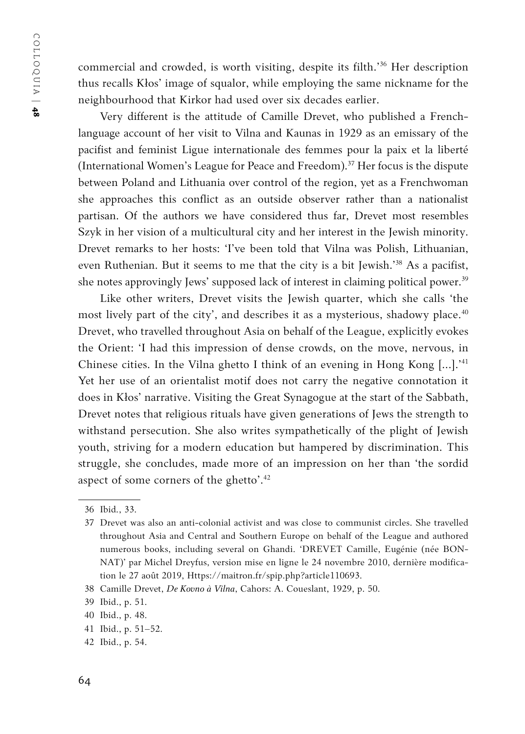commercial and crowded, is worth visiting, despite its filth.'36 Her description thus recalls Kłos' image of squalor, while employing the same nickname for the neighbourhood that Kirkor had used over six decades earlier.

Very different is the attitude of Camille Drevet, who published a Frenchlanguage account of her visit to Vilna and Kaunas in 1929 as an emissary of the pacifist and feminist Ligue internationale des femmes pour la paix et la liberté (International Women's League for Peace and Freedom).<sup>37</sup> Her focus is the dispute between Poland and Lithuania over control of the region, yet as a Frenchwoman she approaches this conflict as an outside observer rather than a nationalist partisan. Of the authors we have considered thus far, Drevet most resembles Szyk in her vision of a multicultural city and her interest in the Jewish minority. Drevet remarks to her hosts: 'I've been told that Vilna was Polish, Lithuanian, even Ruthenian. But it seems to me that the city is a bit Jewish.'38 As a pacifist, she notes approvingly Jews' supposed lack of interest in claiming political power.<sup>39</sup>

Like other writers, Drevet visits the Jewish quarter, which she calls 'the most lively part of the city', and describes it as a mysterious, shadowy place.<sup>40</sup> Drevet, who travelled throughout Asia on behalf of the League, explicitly evokes the Orient: 'I had this impression of dense crowds, on the move, nervous, in Chinese cities. In the Vilna ghetto I think of an evening in Hong Kong [...].'41 Yet her use of an orientalist motif does not carry the negative connotation it does in Kłos' narrative. Visiting the Great Synagogue at the start of the Sabbath, Drevet notes that religious rituals have given generations of Jews the strength to withstand persecution. She also writes sympathetically of the plight of Jewish youth, striving for a modern education but hampered by discrimination. This struggle, she concludes, made more of an impression on her than 'the sordid aspect of some corners of the ghetto'.<sup>42</sup>

<sup>36</sup> Ibid*.*, 33.

<sup>37</sup> Drevet was also an anti-colonial activist and was close to communist circles. She travelled throughout Asia and Central and Southern Europe on behalf of the League and authored numerous books, including several on Ghandi. 'DREVET Camille, Eugénie (née BON-NAT)' par Michel Dreyfus, version mise en ligne le 24 novembre 2010, dernière modification le 27 août 2019, Https://maitron.fr/spip.php?article110693.

<sup>38</sup> Camille Drevet, *De Kovno à Vilna*, Cahors: A. Coueslant, 1929, p. 50.

<sup>39</sup> Ibid., p. 51.

<sup>40</sup> Ibid., p. 48.

<sup>41</sup> Ibid., p. 51–52.

<sup>42</sup> Ibid., p. 54.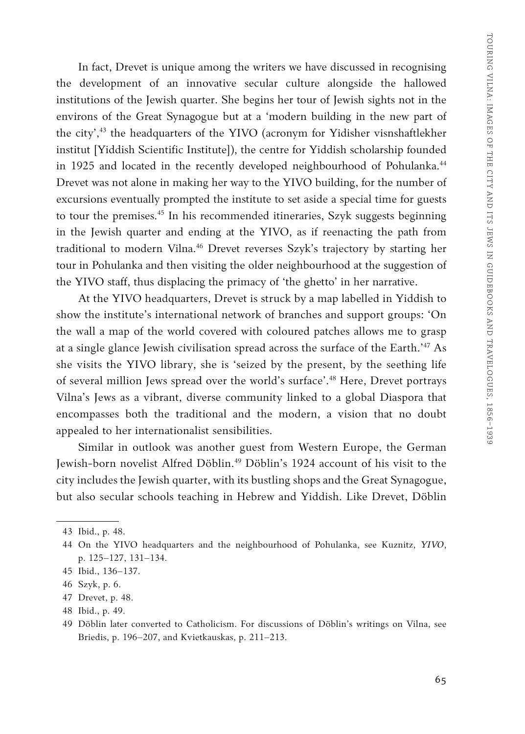In fact, Drevet is unique among the writers we have discussed in recognising the development of an innovative secular culture alongside the hallowed institutions of the Jewish quarter. She begins her tour of Jewish sights not in the environs of the Great Synagogue but at a 'modern building in the new part of the city',43 the headquarters of the YIVO (acronym for Yidisher visnshaftlekher institut [Yiddish Scientific Institute]), the centre for Yiddish scholarship founded in 1925 and located in the recently developed neighbourhood of Pohulanka.<sup>44</sup> Drevet was not alone in making her way to the YIVO building, for the number of excursions eventually prompted the institute to set aside a special time for guests to tour the premises.<sup>45</sup> In his recommended itineraries, Szyk suggests beginning in the Jewish quarter and ending at the YIVO, as if reenacting the path from traditional to modern Vilna.<sup>46</sup> Drevet reverses Szyk's trajectory by starting her tour in Pohulanka and then visiting the older neighbourhood at the suggestion of the YIVO staff, thus displacing the primacy of 'the ghetto' in her narrative.

At the YIVO headquarters, Drevet is struck by a map labelled in Yiddish to show the institute's international network of branches and support groups: 'On the wall a map of the world covered with coloured patches allows me to grasp at a single glance Jewish civilisation spread across the surface of the Earth.'47 As she visits the YIVO library, she is 'seized by the present, by the seething life of several million Jews spread over the world's surface'.48 Here, Drevet portrays Vilna's Jews as a vibrant, diverse community linked to a global Diaspora that encompasses both the traditional and the modern, a vision that no doubt appealed to her internationalist sensibilities.

Similar in outlook was another guest from Western Europe, the German Jewish-born novelist Alfred Döblin.49 Döblin's 1924 account of his visit to the city includes the Jewish quarter, with its bustling shops and the Great Synagogue, but also secular schools teaching in Hebrew and Yiddish. Like Drevet, Döblin

<sup>43</sup> Ibid., p. 48.

<sup>44</sup> On the YIVO headquarters and the neighbourhood of Pohulanka, see Kuznitz, *YIVO*, p. 125–127, 131–134.

<sup>45</sup> Ibid., 136–137.

<sup>46</sup> Szyk, p. 6.

<sup>47</sup> Drevet, p. 48.

<sup>48</sup> Ibid., p. 49.

<sup>49</sup> Döblin later converted to Catholicism. For discussions of Döblin's writings on Vilna, see Briedis, p. 196–207, and Kvietkauskas, p. 211–213.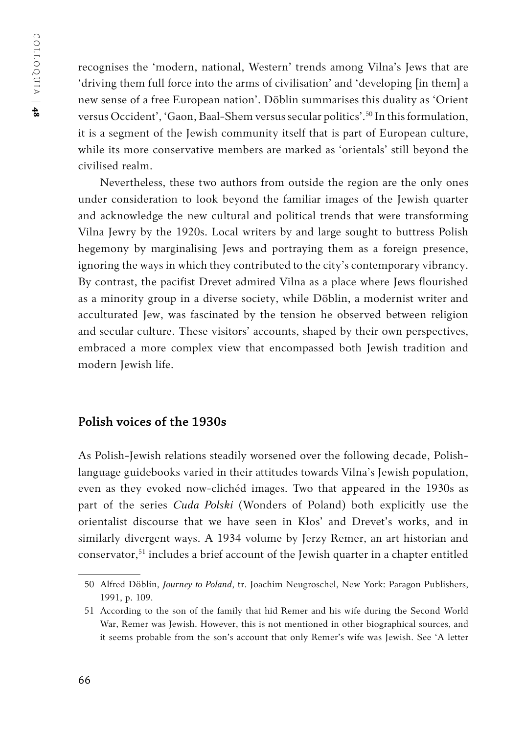recognises the 'modern, national, Western' trends among Vilna's Jews that are 'driving them full force into the arms of civilisation' and 'developing [in them] a new sense of a free European nation'. Döblin summarises this duality as 'Orient versus Occident', 'Gaon, Baal-Shem versus secular politics'.50 In this formulation, it is a segment of the Jewish community itself that is part of European culture, while its more conservative members are marked as 'orientals' still beyond the civilised realm.

Nevertheless, these two authors from outside the region are the only ones under consideration to look beyond the familiar images of the Jewish quarter and acknowledge the new cultural and political trends that were transforming Vilna Jewry by the 1920s. Local writers by and large sought to buttress Polish hegemony by marginalising Jews and portraying them as a foreign presence, ignoring the ways in which they contributed to the city's contemporary vibrancy. By contrast, the pacifist Drevet admired Vilna as a place where Jews flourished as a minority group in a diverse society, while Döblin, a modernist writer and acculturated Jew, was fascinated by the tension he observed between religion and secular culture. These visitors' accounts, shaped by their own perspectives, embraced a more complex view that encompassed both Jewish tradition and modern Jewish life.

# **Polish voices of the 1930s**

As Polish-Jewish relations steadily worsened over the following decade, Polishlanguage guidebooks varied in their attitudes towards Vilna's Jewish population, even as they evoked now-clichéd images. Two that appeared in the 1930s as part of the series *Cuda Polski* (Wonders of Poland) both explicitly use the orientalist discourse that we have seen in Kłos' and Drevet's works, and in similarly divergent ways. A 1934 volume by Jerzy Remer, an art historian and conservator,51 includes a brief account of the Jewish quarter in a chapter entitled

<sup>50</sup> Alfred Döblin, *Journey to Poland*, tr. Joachim Neugroschel, New York: Paragon Publishers, 1991, p. 109.

<sup>51</sup> According to the son of the family that hid Remer and his wife during the Second World War, Remer was Jewish. However, this is not mentioned in other biographical sources, and it seems probable from the son's account that only Remer's wife was Jewish. See 'A letter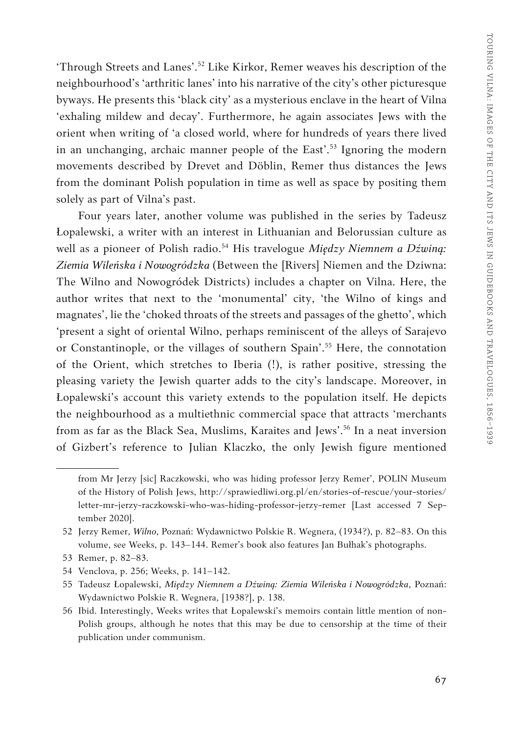'Through Streets and Lanes'.52 Like Kirkor, Remer weaves his description of the neighbourhood's 'arthritic lanes' into his narrative of the city's other picturesque byways. He presents this 'black city' as a mysterious enclave in the heart of Vilna 'exhaling mildew and decay'. Furthermore, he again associates Jews with the orient when writing of 'a closed world, where for hundreds of years there lived in an unchanging, archaic manner people of the East'.<sup>53</sup> Ignoring the modern movements described by Drevet and Döblin, Remer thus distances the Jews from the dominant Polish population in time as well as space by positing them solely as part of Vilna's past.

Four years later, another volume was published in the series by Tadeusz Łopalewski, a writer with an interest in Lithuanian and Belorussian culture as well as a pioneer of Polish radio.<sup>54</sup> His travelogue *Między Niemnem a Dźwiną*: *Ziemia Wileńska i Nowogródzka* (Between the [Rivers] Niemen and the Dziwna: The Wilno and Nowogródek Districts) includes a chapter on Vilna. Here, the author writes that next to the 'monumental' city, 'the Wilno of kings and magnates', lie the 'choked throats of the streets and passages of the ghetto', which 'present a sight of oriental Wilno, perhaps reminiscent of the alleys of Sarajevo or Constantinople, or the villages of southern Spain'.<sup>55</sup> Here, the connotation of the Orient, which stretches to Iberia (!), is rather positive, stressing the pleasing variety the Jewish quarter adds to the city's landscape. Moreover, in Łopalewski's account this variety extends to the population itself. He depicts the neighbourhood as a multiethnic commercial space that attracts 'merchants from as far as the Black Sea, Muslims, Karaites and Jews'.<sup>56</sup> In a neat inversion of Gizbert's reference to Julian Klaczko, the only Jewish figure mentioned

from Mr Jerzy [sic] Raczkowski, who was hiding professor Jerzy Remer', POLIN Museum of the History of Polish Jews, http://sprawiedliwi.org.pl/en/stories-of-rescue/your-stories/ letter-mr-jerzy-raczkowski-who-was-hiding-professor-jerzy-remer [Last accessed 7 September 2020].

<sup>52</sup> Jerzy Remer, *Wilno*, Poznań: Wydawnictwo Polskie R. Wegnera, (1934?), p. 82–83. On this volume, see Weeks, p. 143–144. Remer's book also features Jan Bułhak's photographs.

<sup>53</sup> Remer, p. 82–83.

<sup>54</sup> Venclova, p. 256; Weeks, p. 141–142.

<sup>55</sup> Tadeusz Łopalewski, *Między Niemnem a Dźwiną: Ziemia Wileńska i Nowogródzka*, Poznań: Wydawnictwo Polskie R. Wegnera, [1938?], p. 138.

<sup>56</sup> Ibid. Interestingly, Weeks writes that Łopalewski's memoirs contain little mention of non-Polish groups, although he notes that this may be due to censorship at the time of their publication under communism.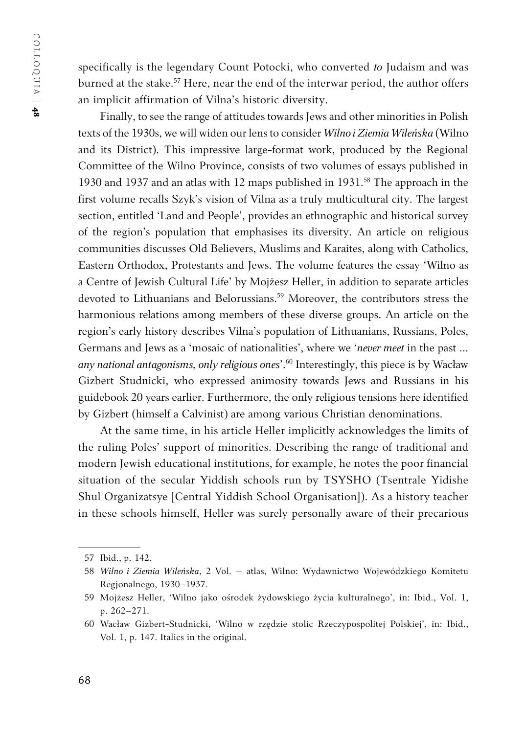specifically is the legendary Count Potocki, who converted *to* Judaism and was burned at the stake.<sup>57</sup> Here, near the end of the interwar period, the author offers an implicit affirmation of Vilna's historic diversity.

Finally, to see the range of attitudes towards Jews and other minorities in Polish texts of the 1930s, we will widen our lens to consider *Wilno i Ziemia Wileńska* (Wilno and its District). This impressive large-format work, produced by the Regional Committee of the Wilno Province, consists of two volumes of essays published in 1930 and 1937 and an atlas with 12 maps published in 1931.<sup>58</sup> The approach in the first volume recalls Szyk's vision of Vilna as a truly multicultural city. The largest section, entitled 'Land and People', provides an ethnographic and historical survey of the region's population that emphasises its diversity. An article on religious communities discusses Old Believers, Muslims and Karaites, along with Catholics, Eastern Orthodox, Protestants and Jews. The volume features the essay 'Wilno as a Centre of Jewish Cultural Life' by Mojżesz Heller, in addition to separate articles devoted to Lithuanians and Belorussians.<sup>59</sup> Moreover, the contributors stress the harmonious relations among members of these diverse groups. An article on the region's early history describes Vilna's population of Lithuanians, Russians, Poles, Germans and Jews as a 'mosaic of nationalities', where we '*never meet* in the past ... *any national antagonisms, only religious ones*'.60 Interestingly, this piece is by Wacław Gizbert Studnicki, who expressed animosity towards Jews and Russians in his guidebook 20 years earlier. Furthermore, the only religious tensions here identified by Gizbert (himself a Calvinist) are among various Christian denominations.

At the same time, in his article Heller implicitly acknowledges the limits of the ruling Poles' support of minorities. Describing the range of traditional and modern Jewish educational institutions, for example, he notes the poor financial situation of the secular Yiddish schools run by TSYSHO (Tsentrale Yidishe Shul Organizatsye [Central Yiddish School Organisation]). As a history teacher in these schools himself, Heller was surely personally aware of their precarious

<sup>57</sup> Ibid., p. 142.

<sup>58</sup> *Wilno i Ziemia Wileńska*, 2 Vol. + atlas, Wilno: Wydawnictwo Wojewódzkiego Komitetu Regjonalnego, 1930–1937.

<sup>59</sup> Mojżesz Heller, 'Wilno jako ośrodek żydowskiego życia kulturalnego', in: Ibid., Vol. 1, p. 262–271.

<sup>60</sup> Wacław Gizbert-Studnicki, 'Wilno w rzędzie stolic Rzeczypospolitej Polskiej', in: Ibid., Vol. 1, p. 147. Italics in the original.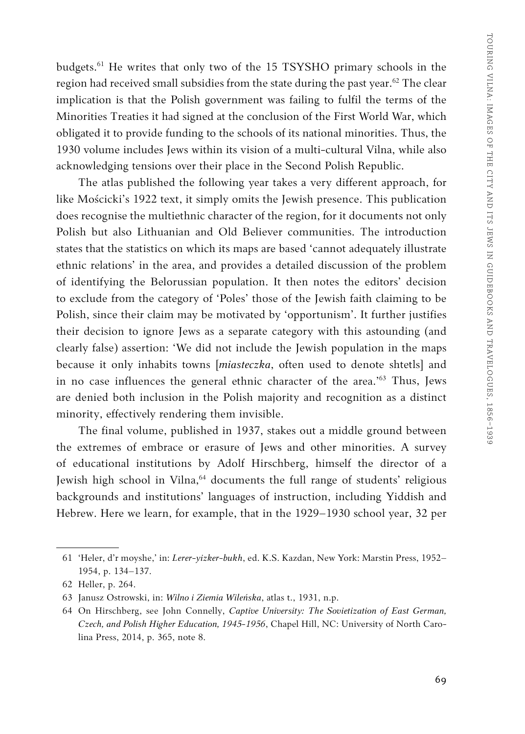budgets.61 He writes that only two of the 15 TSYSHO primary schools in the region had received small subsidies from the state during the past year.<sup>62</sup> The clear implication is that the Polish government was failing to fulfil the terms of the Minorities Treaties it had signed at the conclusion of the First World War, which obligated it to provide funding to the schools of its national minorities. Thus, the 1930 volume includes Jews within its vision of a multi-cultural Vilna, while also acknowledging tensions over their place in the Second Polish Republic.

The atlas published the following year takes a very different approach, for like Mościcki's 1922 text, it simply omits the Jewish presence. This publication does recognise the multiethnic character of the region, for it documents not only Polish but also Lithuanian and Old Believer communities. The introduction states that the statistics on which its maps are based 'cannot adequately illustrate ethnic relations' in the area, and provides a detailed discussion of the problem of identifying the Belorussian population. It then notes the editors' decision to exclude from the category of 'Poles' those of the Jewish faith claiming to be Polish, since their claim may be motivated by 'opportunism'. It further justifies their decision to ignore Jews as a separate category with this astounding (and clearly false) assertion: 'We did not include the Jewish population in the maps because it only inhabits towns [*miasteczka*, often used to denote shtetls] and in no case influences the general ethnic character of the area.'63 Thus, Jews are denied both inclusion in the Polish majority and recognition as a distinct minority, effectively rendering them invisible.

The final volume, published in 1937, stakes out a middle ground between the extremes of embrace or erasure of Jews and other minorities. A survey of educational institutions by Adolf Hirschberg, himself the director of a Jewish high school in Vilna,<sup>64</sup> documents the full range of students' religious backgrounds and institutions' languages of instruction, including Yiddish and Hebrew. Here we learn, for example, that in the 1929–1930 school year, 32 per

<sup>61</sup> 'Heler, d'r moyshe,' in: *Lerer-yizker-bukh*, ed. K.S. Kazdan, New York: Marstin Press, 1952– 1954, p. 134–137.

<sup>62</sup> Heller, p. 264.

<sup>63</sup> Janusz Ostrowski, in: *Wilno i Ziemia Wileńska*, atlas t., 1931, n.p.

<sup>64</sup> On Hirschberg, see John Connelly, *Captive University: The Sovietization of East German, Czech, and Polish Higher Education, 1945-1956*, Chapel Hill, NC: University of North Carolina Press, 2014, p. 365, note 8.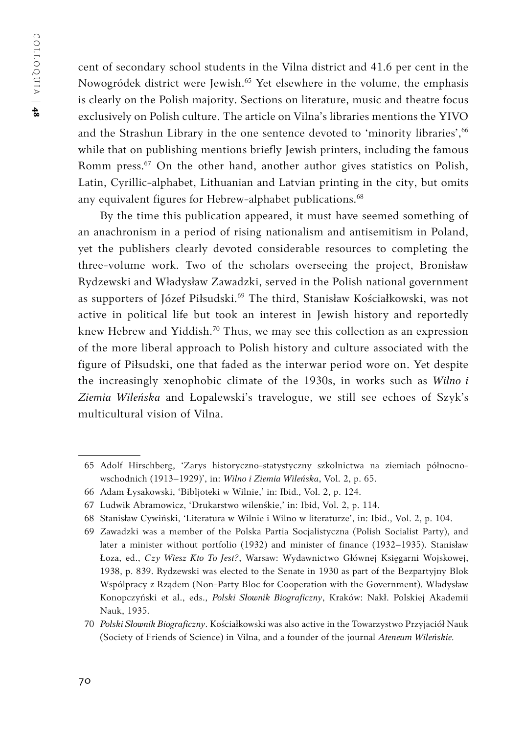COLLOQUIA | COLLOQUIA | 48

cent of secondary school students in the Vilna district and 41.6 per cent in the Nowogródek district were Jewish.<sup>65</sup> Yet elsewhere in the volume, the emphasis is clearly on the Polish majority. Sections on literature, music and theatre focus exclusively on Polish culture. The article on Vilna's libraries mentions the YIVO and the Strashun Library in the one sentence devoted to 'minority libraries', 66 while that on publishing mentions briefly Jewish printers, including the famous Romm press.<sup>67</sup> On the other hand, another author gives statistics on Polish, Latin, Cyrillic-alphabet, Lithuanian and Latvian printing in the city, but omits any equivalent figures for Hebrew-alphabet publications.<sup>68</sup>

By the time this publication appeared, it must have seemed something of an anachronism in a period of rising nationalism and antisemitism in Poland, yet the publishers clearly devoted considerable resources to completing the three-volume work. Two of the scholars overseeing the project, Bronisław Rydzewski and Władysław Zawadzki, served in the Polish national government as supporters of Józef Piłsudski.<sup>69</sup> The third, Stanisław Kościałkowski, was not active in political life but took an interest in Jewish history and reportedly knew Hebrew and Yiddish.<sup>70</sup> Thus, we may see this collection as an expression of the more liberal approach to Polish history and culture associated with the figure of Piłsudski, one that faded as the interwar period wore on. Yet despite the increasingly xenophobic climate of the 1930s, in works such as *Wilno i Ziemia Wileńska* and Łopalewski's travelogue, we still see echoes of Szyk's multicultural vision of Vilna.

<sup>65</sup> Adolf Hirschberg, 'Zarys historyczno-statystyczny szkolnictwa na ziemiach północnowschodnich (1913–1929)', in: *Wilno i Ziemia Wileńska*, Vol. 2, p. 65.

<sup>66</sup> Adam Łysakowski, 'Bibljoteki w Wilnie,' in: Ibid*.,* Vol. 2, p. 124.

<sup>67</sup> Ludwik Abramowicz, 'Drukarstwo wilenśkie,' in: Ibid, Vol. 2, p. 114.

<sup>68</sup> Stanisław Cywiński, 'Literatura w Wilnie i Wilno w literaturze', in: Ibid., Vol. 2, p. 104.

<sup>69</sup> Zawadzki was a member of the Polska Partia Socjalistyczna (Polish Socialist Party), and later a minister without portfolio (1932) and minister of finance (1932–1935). Stanisław Łoza, ed., *Czy Wiesz Kto To Jest?*, Warsaw: Wydawnictwo Głównej Księgarni Wojskowej, 1938, p. 839. Rydzewski was elected to the Senate in 1930 as part of the Bezpartyjny Blok Wspólpracy z Rządem (Non-Party Bloc for Cooperation with the Government). Władysław Konopczyński et al., eds., *Polski Słownik Biograficzny*, Kraków: Nakł. Polskiej Akademii Nauk, 1935.

<sup>70</sup> *Polski Słownik Biograficzny*. Kościałkowski was also active in the Towarzystwo Przyjaciół Nauk (Society of Friends of Science) in Vilna, and a founder of the journal *Ateneum Wileńskie.*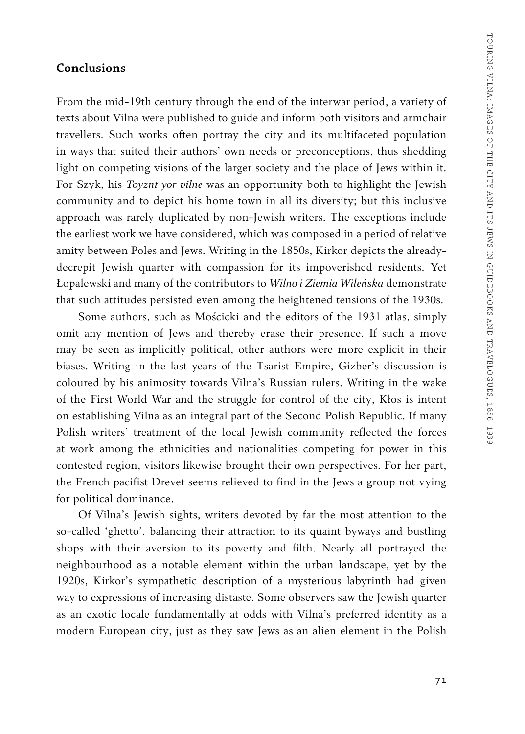#### **Conclusions**

From the mid-19th century through the end of the interwar period, a variety of texts about Vilna were published to guide and inform both visitors and armchair travellers. Such works often portray the city and its multifaceted population in ways that suited their authors' own needs or preconceptions, thus shedding light on competing visions of the larger society and the place of Jews within it. For Szyk, his *Toyznt yor vilne* was an opportunity both to highlight the Jewish community and to depict his home town in all its diversity; but this inclusive approach was rarely duplicated by non-Jewish writers. The exceptions include the earliest work we have considered, which was composed in a period of relative amity between Poles and Jews. Writing in the 1850s, Kirkor depicts the alreadydecrepit Jewish quarter with compassion for its impoverished residents. Yet Łopalewski and many of the contributors to *Wilno i Ziemia Wileńska* demonstrate that such attitudes persisted even among the heightened tensions of the 1930s.

Some authors, such as Mościcki and the editors of the 1931 atlas, simply omit any mention of Jews and thereby erase their presence. If such a move may be seen as implicitly political, other authors were more explicit in their biases. Writing in the last years of the Tsarist Empire, Gizber's discussion is coloured by his animosity towards Vilna's Russian rulers. Writing in the wake of the First World War and the struggle for control of the city, Kłos is intent on establishing Vilna as an integral part of the Second Polish Republic. If many Polish writers' treatment of the local Jewish community reflected the forces at work among the ethnicities and nationalities competing for power in this contested region, visitors likewise brought their own perspectives. For her part, the French pacifist Drevet seems relieved to find in the Jews a group not vying for political dominance.

Of Vilna's Jewish sights, writers devoted by far the most attention to the so-called 'ghetto', balancing their attraction to its quaint byways and bustling shops with their aversion to its poverty and filth. Nearly all portrayed the neighbourhood as a notable element within the urban landscape, yet by the 1920s, Kirkor's sympathetic description of a mysterious labyrinth had given way to expressions of increasing distaste. Some observers saw the Jewish quarter as an exotic locale fundamentally at odds with Vilna's preferred identity as a modern European city, just as they saw Jews as an alien element in the Polish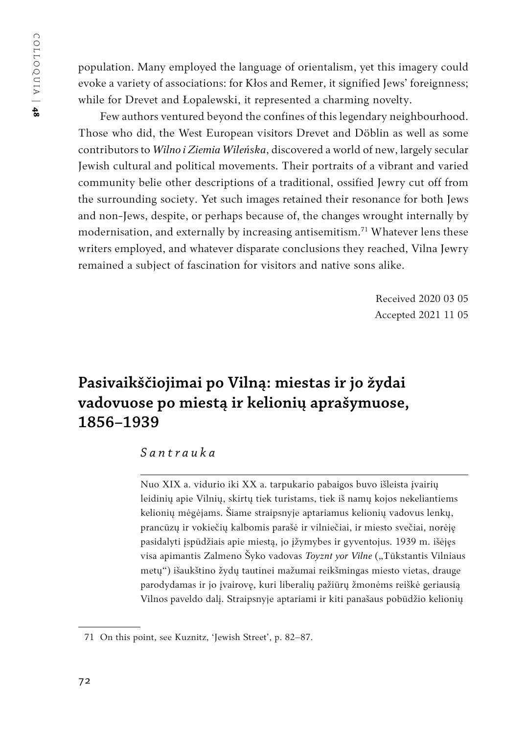population. Many employed the language of orientalism, yet this imagery could evoke a variety of associations: for Kłos and Remer, it signified Jews' foreignness; while for Drevet and Łopalewski, it represented a charming novelty.

Few authors ventured beyond the confines of this legendary neighbourhood. Those who did, the West European visitors Drevet and Döblin as well as some contributors to *Wilno i Ziemia Wileńska*, discovered a world of new, largely secular Jewish cultural and political movements. Their portraits of a vibrant and varied community belie other descriptions of a traditional, ossified Jewry cut off from the surrounding society. Yet such images retained their resonance for both Jews and non-Jews, despite, or perhaps because of, the changes wrought internally by modernisation, and externally by increasing antisemitism.<sup>71</sup> Whatever lens these writers employed, and whatever disparate conclusions they reached, Vilna Jewry remained a subject of fascination for visitors and native sons alike.

> Received 2020 03 05 Accepted 2021 11 05

# **Pasivaikščiojimai po Vilną: miestas ir jo žydai vadovuose po miestą ir kelionių aprašymuose, 1856–1939**

# *Santrauka*

Nuo XIX a. vidurio iki XX a. tarpukario pabaigos buvo išleista įvairių leidinių apie Vilnių, skirtų tiek turistams, tiek iš namų kojos nekeliantiems kelionių mėgėjams. Šiame straipsnyje aptariamus kelionių vadovus lenkų, prancūzų ir vokiečių kalbomis parašė ir vilniečiai, ir miesto svečiai, norėję pasidalyti įspūdžiais apie miestą, jo įžymybes ir gyventojus. 1939 m. išėjęs visa apimantis Zalmeno Šyko vadovas *Toyznt yor Vilne* ("Tūkstantis Vilniaus metų") išaukštino žydų tautinei mažumai reikšmingas miesto vietas, drauge parodydamas ir jo įvairovę, kuri liberalių pažiūrų žmonėms reiškė geriausią Vilnos paveldo dalį. Straipsnyje aptariami ir kiti panašaus pobūdžio kelionių

<sup>71</sup> On this point, see Kuznitz, 'Jewish Street', p. 82–87.